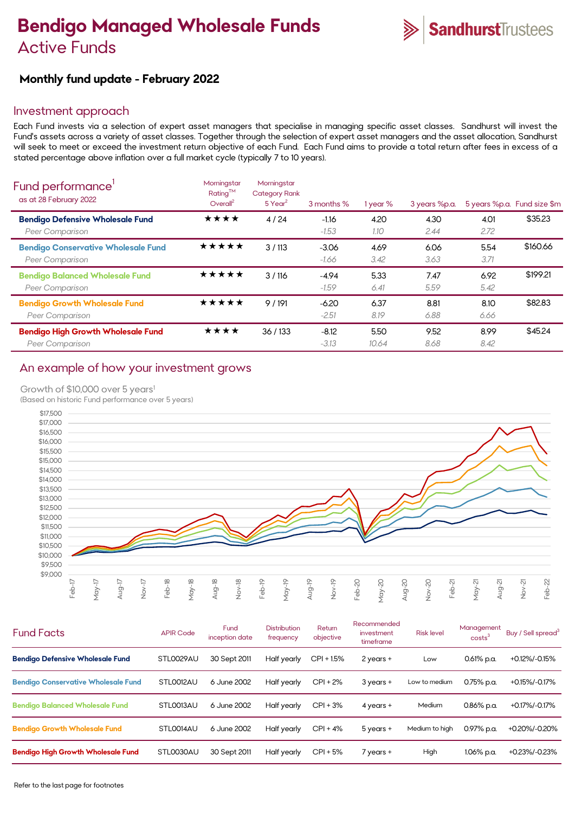# **Bendigo Managed Wholesale Funds**  Active Funds



# **Monthly fund update - February 2022**

### Investment approach

Each Fund invests via a selection of expert asset managers that specialise in managing specific asset classes. Sandhurst will invest the Fund's assets across a variety of asset classes. Together through the selection of expert asset managers and the asset allocation, Sandhurst will seek to meet or exceed the investment return objective of each Fund. Each Fund aims to provide a total return after fees in excess of a stated percentage above inflation over a full market cycle (typically 7 to 10 years).

| Fund performance'<br>as at 28 February 2022                         | Morningstar<br>$Rating^{TM}$<br>Overall <sup>2</sup> | Morningstar<br><b>Category Rank</b><br>$5$ Year <sup>2</sup> | 3 months %         | 1 year %      | 3 years %p.a. |              | 5 years %p.a. Fund size \$m |
|---------------------------------------------------------------------|------------------------------------------------------|--------------------------------------------------------------|--------------------|---------------|---------------|--------------|-----------------------------|
| <b>Bendigo Defensive Wholesale Fund</b><br>Peer Comparison          | ★★★★                                                 | 4/24                                                         | $-1.16$<br>$-1.53$ | 4.20<br>1.10  | 4.30<br>2.44  | 4.01<br>2.72 | \$35.23                     |
| <b>Bendigo Conservative Wholesale Fund</b><br>Peer Comparison       | ★★★★★                                                | 3/113                                                        | $-3.06$<br>-1.66   | 4.69<br>3.42  | 6.06<br>3.63  | 5.54<br>3.71 | \$160.66                    |
| <b>Bendigo Balanced Wholesale Fund</b><br>Peer Comparison           | ★★★★★                                                | 3/116                                                        | $-4.94$<br>$-1.59$ | 5.33<br>6.41  | 7.47<br>5.59  | 6.92<br>5.42 | \$199.21                    |
| <b>Bendigo Growth Wholesale Fund</b><br><b>Peer Comparison</b>      | ★★★★★                                                | 9/191                                                        | $-6.20$<br>$-2.51$ | 6.37<br>8.19  | 8.81<br>6.88  | 8.10<br>6.66 | \$82.83                     |
| <b>Bendigo High Growth Wholesale Fund</b><br><b>Peer Comparison</b> | ★★★★                                                 | 36/133                                                       | $-8.12$<br>$-3.13$ | 5.50<br>10.64 | 9.52<br>8.68  | 8.99<br>8.42 | \$45.24                     |

## An example of how your investment grows

#### Growth of \$10,000 over 5 years<sup>1</sup>

(Based on historic Fund performance over 5 years)



| <b>Fund Facts</b>                          | <b>APIR Code</b> | Fund<br>inception date | <b>Distribution</b><br>frequency | Return<br>objective | Recommended<br>investment<br>timeframe | <b>Risk level</b> | Management<br>costs <sup>3</sup> | Buy / Sell spread <sup>3</sup> |
|--------------------------------------------|------------------|------------------------|----------------------------------|---------------------|----------------------------------------|-------------------|----------------------------------|--------------------------------|
| <b>Bendigo Defensive Wholesale Fund</b>    | STLO029AU        | 30 Sept 2011           | Half yearly                      | $CPI + 1.5%$        | 2 years +                              | Low               | $0.61\%$ p.a.                    | +0.12%/-0.15%                  |
| <b>Bendigo Conservative Wholesale Fund</b> | STLO012AU        | 6 June 2002            | Half yearly                      | $CPI + 2%$          | 3 years +                              | Low to medium     | $0.75\%$ p.a.                    | +0.15%/-0.17%                  |
| <b>Bendigo Balanced Wholesale Fund</b>     | STLO013AU        | 6 June 2002            | Half yearly                      | $CPI + 3%$          | 4 years +                              | Medium            | $0.86\%$ p.a.                    | +0.17%/-0.17%                  |
| <b>Bendigo Growth Wholesale Fund</b>       | STLO014AU        | 6 June 2002            | Half yearly                      | $CPI + 4%$          | 5 years +                              | Medium to high    | 0.97% p.a.                       | +0.20%/-0.20%                  |
| <b>Bendigo High Growth Wholesale Fund</b>  | STL0030AU        | 30 Sept 2011           | Half yearly                      | $CPI + 5%$          | 7 years +                              | High              | 1.06% p.a.                       | +0.23%/-0.23%                  |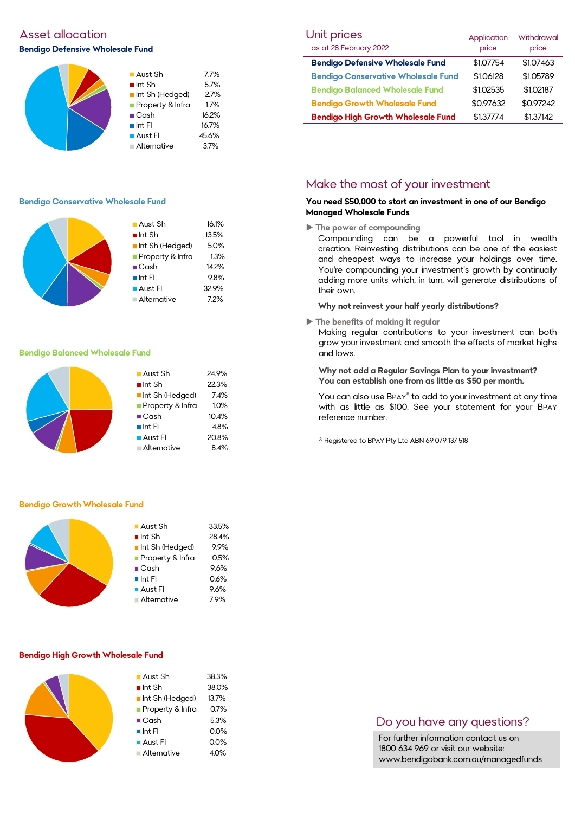# Asset allocation **Bendigo Defensive Wholesale Fund**



#### **Bendigo Conservative Wholesale Fund**

|  | ■ Aust Sh             | 16.1% |
|--|-----------------------|-------|
|  | $\blacksquare$ Int Sh | 13.5% |
|  | Int Sh (Hedged)       | 5.0%  |
|  | Property & Infra      | 1.3%  |
|  | $\blacksquare$ Cash   | 14.2% |
|  | $\blacksquare$ Int FI | 9.8%  |
|  | Aust Fl               | 32.9% |
|  | <b>Alternative</b>    | 7.2%  |

#### **Bendigo Balanced Wholesale Fund**

| $\blacksquare$ Aust Sh<br>$\blacksquare$ Int Sh<br>Int Sh (Hedged)<br>Property & Infra<br>$\Box$ Cash<br>$\blacksquare$ Int FI<br><b>Aust Fl</b> | 24.9%<br>22.3%<br>7.4%<br>1.0%<br>10.4%<br>4.8%<br>20.8% |
|--------------------------------------------------------------------------------------------------------------------------------------------------|----------------------------------------------------------|
|                                                                                                                                                  |                                                          |
| Alternative                                                                                                                                      | 8.4%                                                     |
|                                                                                                                                                  |                                                          |

#### **Bendigo Growth Wholesale Fund**



#### **Bendigo High Growth Wholesale Fund**

| $\blacksquare$ Aust Sh      | 38.3%   |
|-----------------------------|---------|
| $\blacksquare$ Int Sh       | 38.0%   |
| Int Sh (Hedged)             | 13.7%   |
| <b>Property &amp; Infra</b> | 0.7%    |
| $\blacksquare$ Cash         | 5.3%    |
| $\blacksquare$ Int FI       | $0.0\%$ |
| $\blacksquare$ Aust Fl      | 0.0%    |
| Alternative                 | 4.0%    |

| Unit prices                                | Application | <b>Withdrawal</b> |  |
|--------------------------------------------|-------------|-------------------|--|
| as at 28 February 2022                     | price       | price             |  |
| <b>Bendigo Defensive Wholesale Fund</b>    | \$1.07754   | \$1.07463         |  |
| <b>Bendigo Conservative Wholesale Fund</b> | \$1.06128   | \$1.05789         |  |
| <b>Bendigo Balanced Wholesale Fund</b>     | \$1.02535   | \$1.02187         |  |
| <b>Bendigo Growth Wholesale Fund</b>       | \$0.97632   | \$0.97242         |  |
| <b>Bendigo High Growth Wholesale Fund</b>  | \$1.37774   | \$1.37142         |  |

# Make the most of your investment

#### **You need \$50,000 to start an investment in one of our Bendigo Managed Wholesale Funds**

**The power of compounding**

Compounding can be a powerful tool in wealth creation. Reinvesting distributions can be one of the easiest and cheapest ways to increase your holdings over time. You're compounding your investment's growth by continually adding more units which, in turn, will generate distributions of their own.

#### **Why not reinvest your half yearly distributions?**

**The benefits of making it regular**

Making regular contributions to your investment can both grow your investment and smooth the effects of market highs and lows.

**Why not add a Regular Savings Plan to your investment? You can establish one from as little as \$50 per month.** 

You can also use BPAY® to add to your investment at any time with as little as \$100. See your statement for your BPAY reference number.

® Registered to BPAY Pty Ltd ABN 69 079 137 518

# Do you have any questions?

For further information contact us on 1800 634 969 or visit our website: www.bendigobank.com.au/managedfunds